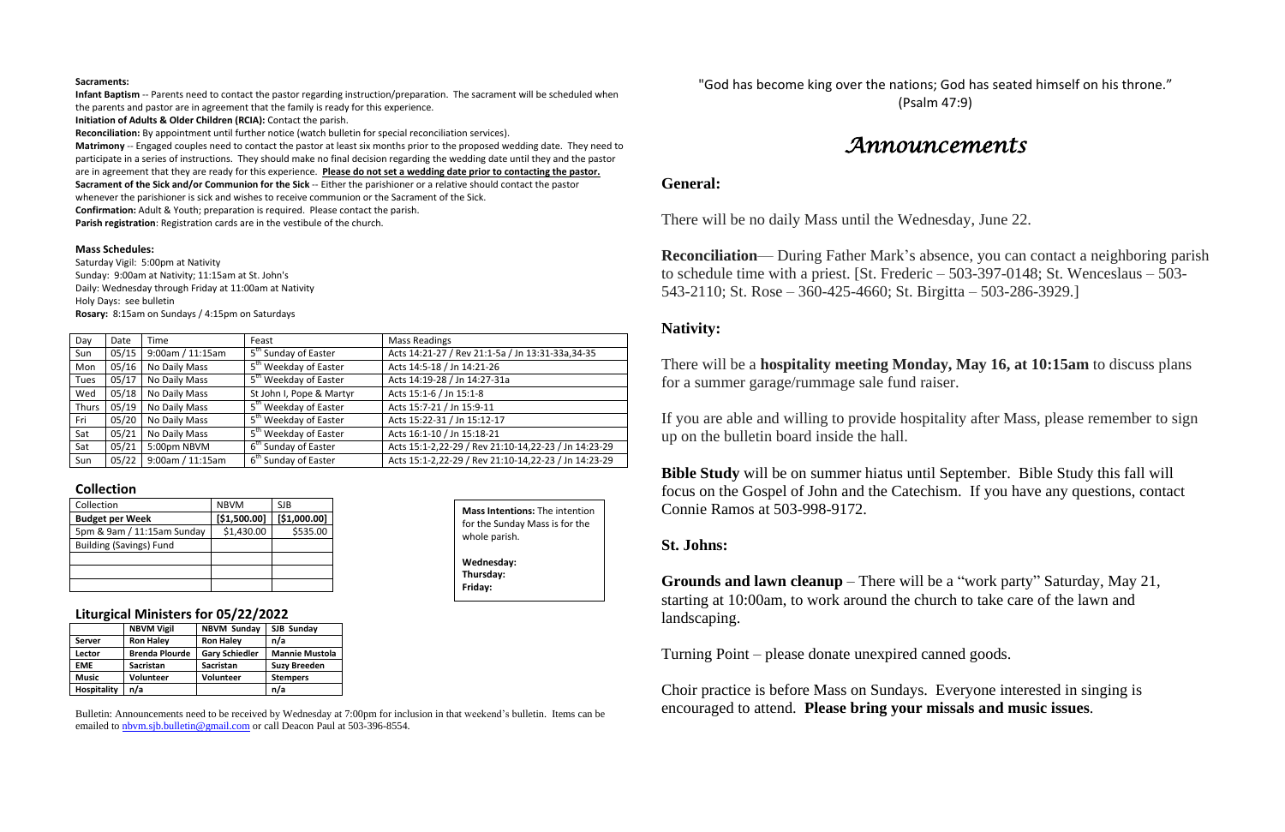#### **Sacraments:**

**Infant Baptism** -- Parents need to contact the pastor regarding instruction/preparation. The sacrament will be scheduled when the parents and pastor are in agreement that the family is ready for this experience.

**Initiation of Adults & Older Children (RCIA):** Contact the parish.

**Reconciliation:** By appointment until further notice (watch bulletin for special reconciliation services).

**Matrimony** -- Engaged couples need to contact the pastor at least six months prior to the proposed wedding date. They need to participate in a series of instructions. They should make no final decision regarding the wedding date until they and the pastor are in agreement that they are ready for this experience. **Please do not set a wedding date prior to contacting the pastor. Sacrament of the Sick and/or Communion for the Sick** -- Either the parishioner or a relative should contact the pastor whenever the parishioner is sick and wishes to receive communion or the Sacrament of the Sick.

**Confirmation:** Adult & Youth; preparation is required. Please contact the parish.

**Parish registration**: Registration cards are in the vestibule of the church.

#### **Mass Schedules:**

Saturday Vigil: 5:00pm at Nativity Sunday: 9:00am at Nativity; 11:15am at St. John's Daily: Wednesday through Friday at 11:00am at Nativity Holy Days: see bulletin **Rosary:** 8:15am on Sundays / 4:15pm on Saturdays

| Day         | Date  | Time             | Feast                             | <b>Mass Readings</b>                                 |
|-------------|-------|------------------|-----------------------------------|------------------------------------------------------|
| Sun         | 05/15 | 9:00am / 11:15am | $5th$ Sunday of Easter            | Acts 14:21-27 / Rev 21:1-5a / Jn 13:31-33a,34-35     |
| Mon         | 05/16 | No Daily Mass    | 5 <sup>th</sup> Weekday of Easter | Acts 14:5-18 / Jn 14:21-26                           |
| <b>Tues</b> | 05/17 | No Daily Mass    | 5 <sup>th</sup> Weekday of Easter | Acts 14:19-28 / Jn 14:27-31a                         |
| Wed         | 05/18 | No Daily Mass    | St John I, Pope & Martyr          | Acts 15:1-6 / Jn 15:1-8                              |
| Thurs       | 05/19 | No Daily Mass    | 5 <sup>th</sup> Weekday of Easter | Acts 15:7-21 / Jn 15:9-11                            |
| Fri         | 05/20 | No Daily Mass    | 5 <sup>th</sup> Weekday of Easter | Acts 15:22-31 / Jn 15:12-17                          |
| Sat         | 05/21 | No Daily Mass    | 5 <sup>th</sup> Weekday of Easter | Acts 16:1-10 / Jn 15:18-21                           |
| Sat         | 05/21 | 5:00pm NBVM      | 6 <sup>th</sup> Sunday of Easter  | Acts 15:1-2,22-29 / Rev 21:10-14,22-23 / Jn 14:23-29 |
| Sun         | 05/22 | 9:00am / 11:15am | 6 <sup>th</sup> Sunday of Easter  | Acts 15:1-2,22-29 / Rev 21:10-14,22-23 / Jn 14:23-29 |

#### **Collection**

| Collection                     | <b>NBVM</b>  | SJB          |
|--------------------------------|--------------|--------------|
| <b>Budget per Week</b>         | [\$1,500.00] | [\$1,000.00] |
| 5pm & 9am / 11:15am Sunday     | \$1,430.00   | \$535.00     |
| <b>Building (Savings) Fund</b> |              |              |
|                                |              |              |
|                                |              |              |
|                                |              |              |

#### **Liturgical Ministers for 05/22/2022**

|                    | <b>NBVM Vigil</b>     | <b>NBVM Sunday</b>    | SJB Sunday            |
|--------------------|-----------------------|-----------------------|-----------------------|
| <b>Server</b>      | <b>Ron Haley</b>      | <b>Ron Haley</b>      | n/a                   |
| Lector             | <b>Brenda Plourde</b> | <b>Gary Schiedler</b> | <b>Mannie Mustola</b> |
| <b>EME</b>         | <b>Sacristan</b>      | <b>Sacristan</b>      | <b>Suzy Breeden</b>   |
| <b>Music</b>       | Volunteer             | <b>Volunteer</b>      | <b>Stempers</b>       |
| <b>Hospitality</b> | n/a                   |                       | n/a                   |

Bulletin: Announcements need to be received by Wednesday at 7:00pm for inclusion in that weekend's bulletin. Items can be emailed to [nbvm.sjb.bulletin@gmail.com](mailto:nbvm.sjb.bulletin@gmail.com) or call Deacon Paul at 503-396-8554.

"God has become king over the nations; God has seated himself on his throne." (Psalm 47:9)

# *Announcements*

## **General:**

There will be no daily Mass until the Wednesday, June 22.

**Reconciliation**— During Father Mark's absence, you can contact a neighboring parish to schedule time with a priest. [St. Frederic – 503-397-0148; St. Wenceslaus – 503- 543-2110; St. Rose – 360-425-4660; St. Birgitta – 503-286-3929.]

## **Nativity:**

There will be a **hospitality meeting Monday, May 16, at 10:15am** to discuss plans for a summer garage/rummage sale fund raiser.

If you are able and willing to provide hospitality after Mass, please remember to sign up on the bulletin board inside the hall.

**Bible Study** will be on summer hiatus until September. Bible Study this fall will focus on the Gospel of John and the Catechism. If you have any questions, contact Connie Ramos at 503-998-9172.

## **St. Johns:**

**Grounds and lawn cleanup** – There will be a "work party" Saturday, May 21, starting at 10:00am, to work around the church to take care of the lawn and landscaping.

Turning Point – please donate unexpired canned goods.

Choir practice is before Mass on Sundays. Everyone interested in singing is encouraged to attend. **Please bring your missals and music issues**.

**Mass Intentions:** The intention for the Sunday Mass is for the

whole parish.

**Wednesday: Thursday: Friday:**